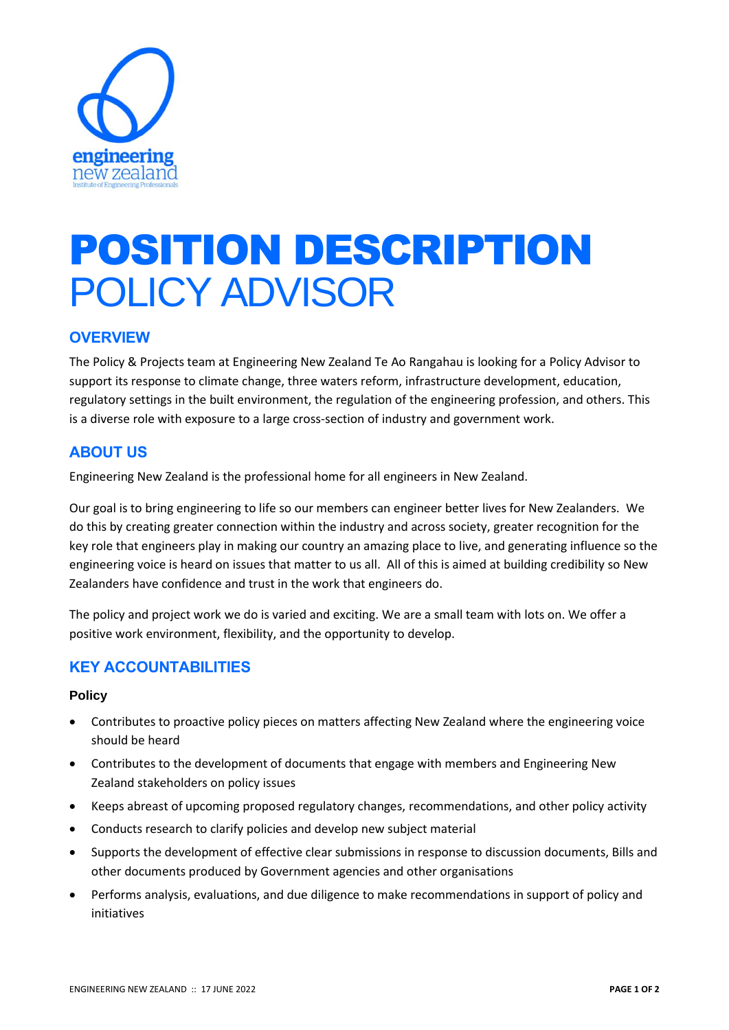

# POSITION DESCRIPTION POLICY ADVISOR

## **OVERVIEW**

The Policy & Projects team at Engineering New Zealand Te Ao Rangahau is looking for a Policy Advisor to support its response to climate change, three waters reform, infrastructure development, education, regulatory settings in the built environment, the regulation of the engineering profession, and others. This is a diverse role with exposure to a large cross-section of industry and government work.

# **ABOUT US**

Engineering New Zealand is the professional home for all engineers in New Zealand.

Our goal is to bring engineering to life so our members can engineer better lives for New Zealanders. We do this by creating greater connection within the industry and across society, greater recognition for the key role that engineers play in making our country an amazing place to live, and generating influence so the engineering voice is heard on issues that matter to us all. All of this is aimed at building credibility so New Zealanders have confidence and trust in the work that engineers do.

The policy and project work we do is varied and exciting. We are a small team with lots on. We offer a positive work environment, flexibility, and the opportunity to develop.

# **KEY ACCOUNTABILITIES**

#### **Policy**

- Contributes to proactive policy pieces on matters affecting New Zealand where the engineering voice should be heard
- Contributes to the development of documents that engage with members and Engineering New Zealand stakeholders on policy issues
- Keeps abreast of upcoming proposed regulatory changes, recommendations, and other policy activity
- Conducts research to clarify policies and develop new subject material
- Supports the development of effective clear submissions in response to discussion documents, Bills and other documents produced by Government agencies and other organisations
- Performs analysis, evaluations, and due diligence to make recommendations in support of policy and initiatives